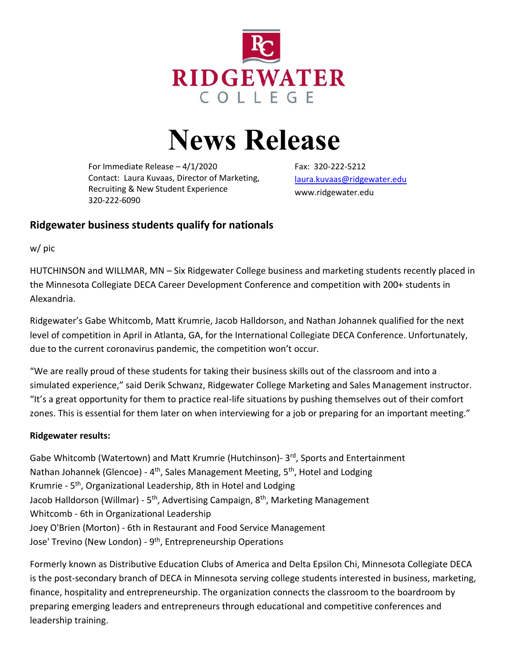

## **News Release**

For Immediate Release – 4/1/2020 Contact: Laura Kuvaas, Director of Marketing, Recruiting & New Student Experience 320-222-6090

Fax: 320-222-5212 [laura.kuvaas@ridgewater.edu](mailto:laura.kuvaas@ridgewater.edu) www.ridgewater.edu

## **Ridgewater business students qualify for nationals**

w/ pic

HUTCHINSON and WILLMAR, MN – Six Ridgewater College business and marketing students recently placed in the Minnesota Collegiate DECA Career Development Conference and competition with 200+ students in Alexandria.

Ridgewater's Gabe Whitcomb, Matt Krumrie, Jacob Halldorson, and Nathan Johannek qualified for the next level of competition in April in Atlanta, GA, for the International Collegiate DECA Conference. Unfortunately, due to the current coronavirus pandemic, the competition won't occur.

"We are really proud of these students for taking their business skills out of the classroom and into a simulated experience," said Derik Schwanz, Ridgewater College Marketing and Sales Management instructor. "It's a great opportunity for them to practice real-life situations by pushing themselves out of their comfort zones. This is essential for them later on when interviewing for a job or preparing for an important meeting."

## **Ridgewater results:**

Gabe Whitcomb (Watertown) and Matt Krumrie (Hutchinson)- 3<sup>rd</sup>, Sports and Entertainment Nathan Johannek (Glencoe) - 4<sup>th</sup>, Sales Management Meeting, 5<sup>th</sup>, Hotel and Lodging Krumrie - 5<sup>th</sup>, Organizational Leadership, 8th in Hotel and Lodging Jacob Halldorson (Willmar) - 5<sup>th</sup>, Advertising Campaign, 8<sup>th</sup>, Marketing Management Whitcomb - 6th in Organizational Leadership Joey O'Brien (Morton) - 6th in Restaurant and Food Service Management Jose' Trevino (New London) - 9<sup>th</sup>, Entrepreneurship Operations

Formerly known as Distributive Education Clubs of America and Delta Epsilon Chi, Minnesota Collegiate DECA is the post-secondary branch of DECA in Minnesota serving college students interested in business, marketing, finance, hospitality and entrepreneurship. The organization connects the classroom to the boardroom by preparing emerging leaders and entrepreneurs through educational and competitive conferences and leadership training.